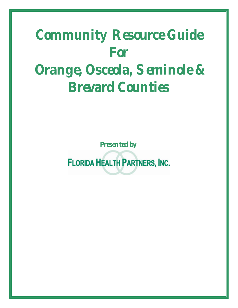## **Community Resource Guide For Orange, Osceola, Seminole & Brevard Counties**

**Presented by**

**FLORIDA HEALTH PARTNERS, INC.**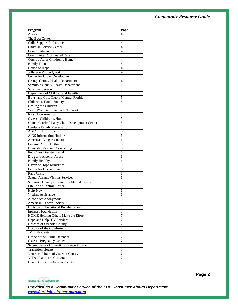| Program                                        | Page           |
|------------------------------------------------|----------------|
| <b>ACES</b>                                    | 4              |
| The Beta Center                                | 4              |
| <b>Child Support Enforcement</b>               | $\overline{4}$ |
| <b>Christian Service Center</b>                | 4              |
| Community Action                               | $\overline{4}$ |
| <b>Community Coordinated Care</b>              | $\overline{4}$ |
| Country Acres Children's Home                  | $\overline{4}$ |
| <b>Family Focus</b>                            | $\overline{4}$ |
| House of Hope                                  | 4              |
| Jefferson Vision Quest                         | 4              |
| Center for Urban Development                   | $\overline{4}$ |
| <b>Orange County Health Department</b>         | 4              |
| Seminole County Health Department              | $\overline{5}$ |
| <b>Sunshine Service</b>                        | 5              |
| Department of Children and Families            | 5              |
| Boys and Girls Club of Central Florida         | 5              |
| Children's Home Society                        | 5              |
| Healing the Children                           | 5              |
| WIC (Women, Infant and Children)               | 5              |
| Kids Hope America                              | 5              |
| Osceola Children's Home                        | 5              |
| United Cerebral Palsy Child Development Center | 5              |
| Heritage Family Preservation                   | 5              |
| <b>ABUSE FL Hotline</b>                        | 6              |
| <b>AIDS</b> Information Hotline                | 6              |
| American Lung Association                      | 6              |
| Cocaine Abuse Hotline                          | 6              |
| <b>Domestic Violence Counseling</b>            | 6              |
| <b>Red Cross Disaster Relief</b>               | 6              |
| Drug and Alcohol Abuse                         | 6              |
| Family Healthy                                 | 6              |
| Haven of Hope Ministries                       | 6              |
| <b>Center for Disease Control</b>              | 6              |
| Rape Crisis                                    | 6              |
| <b>Sexual Assault Victims Services</b>         | 6              |
| Seminole County Community Mental Health        | 6              |
| Lifeline of Central Florida                    | 6              |
| <b>Help Now</b>                                | 6              |
| Victims Assistance                             | 6              |
| Alcoholics Anonymous                           | 6              |
| American Cancer Society                        | 6              |
| Division of Vocational Rehabilitation          | 7              |
| <b>Epilepsy Foundation</b>                     | 7              |
| HOME-Helping Others Make the Effort            | 7              |
| Hope and Help HIV Services                     | 7              |
| Hospice of Osceola County                      | $\overline{7}$ |
| Hospice of the Comforter                       | 7              |
| <b>JMJ</b> Life Center                         | 7              |
| Office of the Public Defender                  | 7              |
| Osceola Pregnancy Center                       | 7              |
| Serene Harbor Domestic Violence Program        | $\overline{7}$ |
| <b>Transition House</b>                        | 7              |
| Veterans Affairs of Osceola County             | 7              |
| VITA Healthcare Corporation                    | 7              |
| Dental Clinic of Osceola County                | 7              |

**FLORIDA HEALTH PARTNERS, INC.** 

*Provided as a Community Service of the FHP Consumer Affairs Department www.floridahealthpartners.com*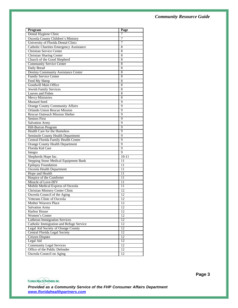| Program                                        | Page           |
|------------------------------------------------|----------------|
| Dental Hygiene Clinic                          | 7              |
| Osceola County Children's Ministry             | 7              |
| University of Florida Dental Clinic            | $\overline{7}$ |
| <b>Catholic Charities Emergency Assistance</b> | 8              |
| <b>Christian Service Center</b>                | 8              |
| Christian Sharing Center                       | 8              |
| Church of the Good Shepherd                    | 8              |
| <b>Community Service Center</b>                | 8              |
| Daily Bread                                    | 8              |
| Destiny Community Assistance Center            | 8              |
| <b>Family Service Center</b>                   | 8              |
| Feed My Sheep                                  | 8              |
| Goodwill Main Office                           | 8              |
| <b>Jewish Family Services</b>                  | 8              |
| Loaves and Fishes                              | 8              |
| Mercy Ministries                               | 8              |
| <b>Mustard Seed</b>                            | 9              |
| <b>Orange County Community Affairs</b>         | 9              |
| Orlando Union Rescue Mission                   | 9              |
| <b>Rescue Outreach Mission Shelter</b>         | 9              |
| <b>Seniors First</b>                           | 9              |
| <b>Salvation Army</b>                          | 9              |
| Hill-Burton Program                            | 9              |
| Health Care for the Homeless                   | $\overline{9}$ |
| Seminole County Health Department              | 9              |
| Central Florida Family Health Center           | 9              |
| <b>Orange County Health Department</b>         | $\overline{9}$ |
| Florida Kid Care                               | 9              |
| Integra                                        | 9              |
| Shepherds Hope Inc.                            | $10 - 11$      |
| Stepping Stone Medical Equipment Bank          | 11             |
| <b>Epilepsy Foundation</b>                     | 11             |
| Osceola Health Department                      | 11             |
| Hope and Health                                | 11             |
| Hospice of the Comforter                       | 11             |
| Miracle of Love-HIV                            | 11             |
| Mobile Medical Express of Osceola              | 11             |
| <b>Christian Ministry Center Clinic</b>        | 12             |
| Osceola Council of the Aging                   | 12             |
| Veterans Clinic of Osceola                     | 12             |
| Mother Weavers Place                           | 12             |
| <b>Salvation Army</b>                          | 12             |
| <b>Harbor House</b>                            | 12             |
| Women's Center                                 | 12             |
| <b>Lutheran Immigration Services</b>           | 12             |
| Catholic Immigration and Refuge Service        | 12             |
| Legal Aid Society of Orange County             | 12             |
| Central Florida Legal Society                  | 12             |
| Citizen Dispute                                | 12             |
| Legal Aid                                      | 12             |
| <b>Community Legal Services</b>                | 12             |
| Office of the Public Defender                  | 12             |
| Osceola Council on Aging                       | 12             |

**FLORIDA HEALTH PARTNERS, INC.** 

*Provided as a Community Service of the FHP Consumer Affairs Department www.floridahealthpartners.com*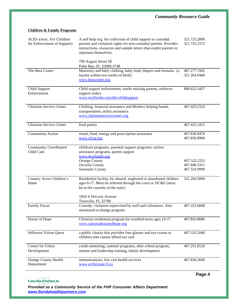| ACES-(Assc. For Children<br>for Enforcement of Support) | A self help org. for collection of child support to custodial<br>parents and visitation rights for non-custodial parents. Provides<br>instructions, resources and sample letters that enable parents to<br>represent themselves. | 321.725.2890<br>321.733.1572 |
|---------------------------------------------------------|----------------------------------------------------------------------------------------------------------------------------------------------------------------------------------------------------------------------------------|------------------------------|
|                                                         | 799 August Street SE<br>Palm Bay, FL 32909-3748                                                                                                                                                                                  |                              |
| The Beta Center                                         | Maternity and baby clothing, baby food, diapers and formula. (a<br>layette within two weeks of birth)<br>www.betacenter.org                                                                                                      | 407.277.1942<br>321.264.0446 |
| Child Support<br>Enforcement                            | Child support enforcement, tracks missing parents, enforces<br>support orders<br>www.myflorida.com/dor/childsupport                                                                                                              | 800.622.5437                 |
| <b>Christian Service Center</b>                         | Clothing, financial assistance and Mothers helping hands,<br>transportation, utility assistance.<br>www.christianservicecenter.org                                                                                               | 407.425.2523                 |
| Christian Service Center                                | food pantry                                                                                                                                                                                                                      | 407.425.2415                 |
| <b>Community Action</b>                                 | rental, food, energy and prescription assistance<br>www.cfcaa.org                                                                                                                                                                | 407.836.8476<br>407.836.8900 |
| <b>Community Coordinated</b><br>Child Care              | childcare programs, parental support programs, tuition<br>assistance programs, parent support<br>www.4corlando.org<br><b>Orange County</b><br>Osceola County                                                                     | 407.522.2252<br>407.846.5311 |
|                                                         | Seminole County                                                                                                                                                                                                                  | 407.324.9999                 |
| Country Acres Children's<br>Home                        | Residential facility for abused, neglected or abandoned children<br>ages 6-17. Must be referred through the court or DC&F (must<br>be in the custody of the state)                                                               | 321.264.5000                 |
|                                                         | 1850 S DeLeon Avenue<br>Titusville, FL 32780                                                                                                                                                                                     |                              |
| <b>Family Focus</b>                                     | Custody, visitation supervised by staff and volunteers. Also<br>monitored exchange program                                                                                                                                       | 407.323.6848                 |
| House of Hope                                           | Christian residential program for troubled teens ages 14-17<br>www.nationalhouseofhope.org                                                                                                                                       | 407.843.8686                 |
| Jefferson Vision Quest                                  | a public charity that provides free glasses and eye exams to<br>children who cannot afford eye care                                                                                                                              | 407.323.2040                 |
| Center for Urban<br>Development                         | youth mentoring, summer programs, after school program,<br>mentor and leadership training, family development                                                                                                                    | 407.251.8120                 |
| <b>Orange County Health</b><br>Department               | immunizations, low cost health services<br>www.orchd.state.fl.us                                                                                                                                                                 | 407.836.2600                 |
|                                                         |                                                                                                                                                                                                                                  |                              |

#### **Children & Family Programs**

**FLORIDA HEALTH PARTNERS, INC.**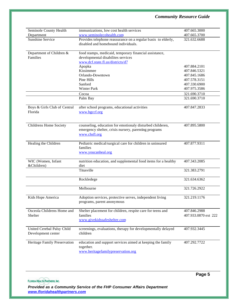| Seminole County Health       | immunizations, low cost health services                        | 407.665.3000         |
|------------------------------|----------------------------------------------------------------|----------------------|
| Department                   | www.seminolecohealth.com                                       | 407.665.3700         |
| Sunshine Service             | Provides telephone reassurance on a regular basis to elderly,  | 321.632.6688         |
|                              | disabled and homebound individuals.                            |                      |
|                              |                                                                |                      |
| Department of Children &     | food stamps, medicaid, temporary financial assistance,         |                      |
| Families                     | developmental disabilites services                             |                      |
|                              | www.dcf.state.fl.us/districts/d7                               |                      |
|                              | Apopka                                                         | 407.884.2101         |
|                              | Kissimmee                                                      | 407.846.5321         |
|                              | Orlando-Downtown                                               | 407.845.1686         |
|                              | Pine Hills                                                     | 407.578.3151         |
|                              | Sanford                                                        | 407.330.6900         |
|                              | <b>Winter Park</b>                                             | 407.975.3586         |
|                              | Cocoa                                                          | 321.690.3710         |
|                              | Palm Bay                                                       | 321.690.3710         |
|                              |                                                                |                      |
| Boys & Girls Club of Central | after school programs, educational activities                  | 407.847.2833         |
| Florida                      | www.bgccf.org                                                  |                      |
|                              |                                                                |                      |
|                              |                                                                |                      |
| Childrens Home Society       | counseling, education for emotionaly disturbed childeren,      | 407.895.5800         |
|                              | emergency shelter, crisis nursery, parenting programs          |                      |
|                              | www.chsfl.org                                                  |                      |
|                              |                                                                |                      |
| Healing the Children         | Pediatric medical/surgical care for children in uninsured      | 407.877.9311         |
|                              | families                                                       |                      |
|                              | www.youcanheal.org                                             |                      |
| WIC (Women, Infant           | nutrition education, and supplemental food items for a healthy | 407.343.2085         |
| &Children)                   | diet                                                           |                      |
|                              | Titusville                                                     | 321.383.2791         |
|                              |                                                                |                      |
|                              | Rockledege                                                     | 321.634.6362         |
|                              |                                                                |                      |
|                              | Melbourne                                                      | 321.726.2922         |
|                              |                                                                |                      |
| Kids Hope America            | Adoption services, protective serves, independent living       | 321.219.1176         |
|                              | programs, parent anonymous                                     |                      |
|                              |                                                                |                      |
| Osceola Childrens Home and   | Shelter placement for children, respite care for teens and     | 407.846.2988         |
| Shelter                      | families                                                       | 407.933.0870 ext 222 |
|                              | www.givekidssafeshelter.com                                    |                      |
|                              |                                                                |                      |
| United Cerebal Palsy Child   | screenings, evaluations, therapy for developmentally delayed   | 407.932.3445         |
| Development center           | children                                                       |                      |
|                              |                                                                |                      |
| Heritage Family Preservation | education and support services aimed at keeping the family     | 407.292.7722         |
|                              | together.<br>www.heritagefamilypreservation.org                |                      |
|                              |                                                                |                      |

**FLORIDA HEALTH PARTNERS, INC.** 

**Page 5**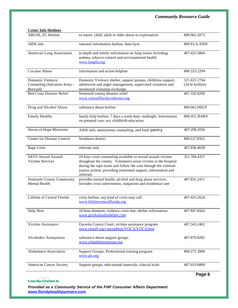| <b>Crisis/Info Hotlines</b>                                   |                                                                                                                                                                                                                                                                                 |                                 |
|---------------------------------------------------------------|---------------------------------------------------------------------------------------------------------------------------------------------------------------------------------------------------------------------------------------------------------------------------------|---------------------------------|
| <b>ABUSE_FL Hotline</b>                                       | to report, child, adult or elder abuse or exploitation                                                                                                                                                                                                                          | 800.962.2873                    |
| AIDS info                                                     | national information hotline, 8am-5pm                                                                                                                                                                                                                                           | 800.FLA.AIDS                    |
| American Lung Association                                     | in-depth and timely information on lung issues including<br>asthma, tobacco control and environmental health<br>www.lungfla.org                                                                                                                                                 | 407.425.5864                    |
| Cocaine Abuse                                                 | information and action helpline                                                                                                                                                                                                                                                 | 800.333.2294                    |
| Domestic Violence<br>Counseling (Salvation Army -<br>Brevard) | Domestic Violence shelter, support groups, childrens support,<br>adolescent and anger management, supervised visitation and<br>monitored visitation exchange.                                                                                                                   | 321.631.2764<br>(24 hr hotline) |
| Red Cross Disaster Relief                                     | Seminole county disaster relief<br>www.centralflorida.redcross.org                                                                                                                                                                                                              | 407.332.8200                    |
| Drug and Alcohol Abuse                                        | substance abuse hotline                                                                                                                                                                                                                                                         | 800.662.HELP                    |
| Family Healthy                                                | family help hotline, 7 days a week 8am -midnight. Information<br>on prenatal care, wic childbirth education                                                                                                                                                                     | 800.451.BABY                    |
| Haven of Hope Ministries                                      | AIDS info, anonymous counseling, and food pantry                                                                                                                                                                                                                                | 407.298.2056                    |
| <b>Center for Disease Control</b>                             | Southeast district                                                                                                                                                                                                                                                              | 800.227.8922                    |
| Rape Crisis                                                   | referrals only                                                                                                                                                                                                                                                                  | 407.836.4028                    |
| SAVS-Sexual Assault<br><b>Victims Services</b>                | 24 hour crisis counseling available to sexual assualt victims<br>thoughout the county. Volunteers assist victims at the hospital<br>during the rape exam and follow the case through the criminal<br>justice system, providing emotional support, information and<br>referrals. | 321.784.4357                    |
| Seminole County Community<br>Mental Health                    | provides mental health, alcohol and drug abuse services.<br>Includes crisis interventino, outpatient and residential care                                                                                                                                                       | 407.831.2411                    |
| Lifeline of Central Florida                                   | crisis hotline, any kind of crisis may call.<br>www.lifelinecentralflorida.org                                                                                                                                                                                                  | 407.425.2624                    |
| Help Now                                                      | 24 hour domestic violence crisis line, shelter information<br>www.givekidssafeshelter.com                                                                                                                                                                                       | 407.847.8562                    |
| <b>Victims Assistance</b>                                     | Osceola County Court, victims assistance program<br>www.ninja9.org/courtadmin/VOCA/VOCA.htm                                                                                                                                                                                     | 407.343.2462                    |
| Alcoholics Anonymous                                          | substance abuse support groups<br>www.orlandointergroup.org                                                                                                                                                                                                                     | 407.870.8282                    |
| <b>Alzheimers Association</b>                                 | Support Groups, Professional training program<br>www.alz.org                                                                                                                                                                                                                    | 800.272.3900                    |
| <b>American Cancer Society</b>                                | Support groups, educational materials, clincial trials                                                                                                                                                                                                                          | 407.933.6800                    |
|                                                               |                                                                                                                                                                                                                                                                                 | Dana C                          |

**FLORIDA HEALTH PARTNERS, INC.** 

*Provided as a Community Service of the FHP Consumer Affairs Department www.floridahealthpartners.com*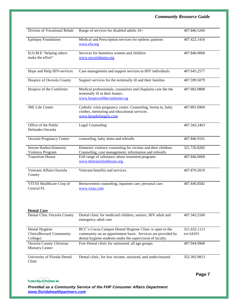| Range of services for disabled adults 16+                                                                                             | 407.846.5260                                           |
|---------------------------------------------------------------------------------------------------------------------------------------|--------------------------------------------------------|
|                                                                                                                                       |                                                        |
| Medical and Prescription services for epiletec patients<br>www.efa.org                                                                | 407.422.1416                                           |
| Services for homeless women and children<br>www.osceolahome.org                                                                       | 407.846.0068                                           |
| Case management and support services to HIV individuals                                                                               | 407.645.2577                                           |
| Support services for the terminally ill and their families                                                                            | 407.599.5079                                           |
| Medical professionals, counselors and chaplains care the the<br>terminally ill in their homes.<br>www.hospiceofthecomforter.og        | 407.682.0808                                           |
| Catholic crisis pregnancy center. Counseling, formu la, baby<br>clothes, mentoring and educational services.<br>www.breadofangels.com | 407.891.6969                                           |
| <b>Legal Counseling</b>                                                                                                               | 407.343.2463                                           |
| counseling, baby items and referalls                                                                                                  | 407.846.9101                                           |
| Domestic violence counseling for victims and their children.                                                                          | 321.726.8282                                           |
| Full range of substance abuse treatment programs<br>www.thetransitionhouse.org.                                                       | 407.846.0068                                           |
| Veterans benefits and services.                                                                                                       | 407.870.2019                                           |
| Bereavement counseling, inpatient care, personal care.<br>www.vitas.com                                                               | 407.846.8582                                           |
|                                                                                                                                       | Counseling, case management, information and referalls |

| <b>Dental Care</b>                                 |                                                                                     |              |
|----------------------------------------------------|-------------------------------------------------------------------------------------|--------------|
| Dental Clinc Osceola County                        | Dental clinic for medicaid children, seniors, HIV adult and<br>emergency adult care | 407.343.2160 |
| Dental Hygiene                                     | BCC's Cocoa Campus Dental Hygiene Clinic is open to the                             | 321.632.1111 |
| Clinic(Brevard Community                           | community on an appointment basis. Services are provided by                         | ext 64101    |
| College)                                           | dental hygiene students under the supervision of faculty.                           |              |
| Osceola County Christian<br><b>Ministry Center</b> | Free Dental clinic for uninsured, all age groups                                    | 407.944.9968 |
| University of Florida Dental<br>Clinic             | Dental clinic, for low income, unisured, and under-insured                          | 352.392.9813 |

**FLORIDA HEALTH PARTNERS, INC.** 

**Page 7**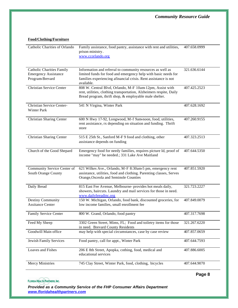#### **Food/Clothing/Furniture**

| Catholic Charities of Orlando                                                      | Family assistance, food pantry, assistance with rent and utilities,<br>prison ministry.<br>www.ccorlando.org                                                                                                  | 407.658.0999 |
|------------------------------------------------------------------------------------|---------------------------------------------------------------------------------------------------------------------------------------------------------------------------------------------------------------|--------------|
| <b>Catholic Charities Family</b><br><b>Emergency Assistance</b><br>Program-Brevard | Information and referral to community resources as well as<br>limited funds for food and emergency help with basic needs for<br>families experiencing afinancial crisis. Rent assistance is not<br>available. | 321.636.6144 |
| <b>Christian Service Center</b>                                                    | 808 W. Central Blvd, Orlando, M-F 10am-12pm, Assist with<br>rent, utilities, clothing transportation, Alzheimers respite, Daily<br>Bread program, thrift shop, & employable male shelter.                     | 407.425.2523 |
| Christian Service Center-<br>Winter Park                                           | 541 N Virgina, Winter Park                                                                                                                                                                                    | 407.628.1692 |
| <b>Christian Sharing Center</b>                                                    | 600 N Hwy 17-92, Longwood, M-f 9am-noon, food, utilities,<br>rent assistance, rx depending on situation and funding. Thrift<br>store                                                                          | 407.260.9155 |
| Christian Sharing Center                                                           | 515 E 25th St., Sanford M-F 9 food and clothing, other<br>assistance depends on funding                                                                                                                       | 407.323.2513 |
| Church of the Good Shepard                                                         | Emergency food for needy families, requires picture Id, proof of<br>income "may" be needed.; 331 Lake Ave Maitland                                                                                            | 407.644.5350 |
| Community Service Center of<br>South Orange County                                 | 621 Wilkes Ave., Orlando, M-F 8:30am-5 pm, emergency rent<br>assistance, utilities, food and clothing. Parenting classes, Serves<br>Orange, Osceola and Seminole Counties                                     | 407.851.5920 |
| Daily Bread                                                                        | 815 East Fee Avenue, Melbourne- provides hot meals daily,<br>showers, haircuts. Laundry and mail services for those in need.<br>www.dailybreadinc.org                                                         | 321.723.2227 |
| Destiny Community<br><b>Assitance Center</b>                                       | 150 W. Michigan, Orlando, food bank, discounted groceries, for<br>low income families, small enrollment fee                                                                                                   | 407.849.0079 |
| Family Service Center                                                              | 800 W. Grand, Orlando, food pantry                                                                                                                                                                            | 407.317.7698 |
| Feed My Sheep                                                                      | 3302 Green Street, Mims, FL; Food and toiletry items for those<br>in need. Brevard County Residents                                                                                                           | 321.267.6220 |
| Goodwill Main office                                                               | may help with special circumstances, case by case review                                                                                                                                                      | 407.857.0659 |
| Jewish Family Services                                                             | Food pantry, call for appt., Winter Park                                                                                                                                                                      | 407.644.7593 |
| Loaves and Fishes                                                                  | 206 E 8th Street, Apopka, cothing, food, medical and<br>educational services                                                                                                                                  | 407.886.6005 |
| <b>Mercy Ministries</b>                                                            | 745 Clay Street, Winter Park, food, clothing, bicycles                                                                                                                                                        | 407.644.9070 |

**Page 8**

#### **FLORIDA HEALTH PARTNERS, INC.**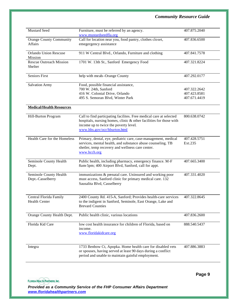| Mustard Seed                                     | Furniture, must be referred by an agency.<br>www.mustardseedfla.org                                                                                                                                               | 407.875.2040                                 |
|--------------------------------------------------|-------------------------------------------------------------------------------------------------------------------------------------------------------------------------------------------------------------------|----------------------------------------------|
| <b>Orange County Community</b><br><b>Affairs</b> | Call for location near you, food pantry, clothes closet,<br>emegergency assistance                                                                                                                                | 407.836.6500                                 |
| Orlando Union Rescuse<br>Mission                 | 911 W Central Blvd., Orlando, Furniture and clothing                                                                                                                                                              | 407.841.7578                                 |
| <b>Rescue Outreach Mission</b><br>Shelter        | 1701 W. 13th St., Sanford Emergency Food                                                                                                                                                                          | 407.321.8224                                 |
| <b>Seniors First</b>                             | help with meals-Orange County                                                                                                                                                                                     | 407.292.0177                                 |
| <b>Salvation Army</b>                            | Food, possible financial assistance,<br>700 W. 24th, Sanford<br>416 W. Colonial Drive, Orlando<br>495 S. Semoran Blvd, Winter Park                                                                                | 407.322.2642<br>407.423.8581<br>407.671.4419 |
| <b>Medical/Health Resources</b>                  |                                                                                                                                                                                                                   |                                              |
| Hill-Burton Program                              | Call to find particpating facilites. Free medical care at selected<br>hospitals, nursing homes, clinic & other facilities for those with<br>income up to twice the poverty level.<br>www.hhs.gov/ocr/hburton.html | 800.638.0742                                 |
| Health Care for the Homeless                     | Primary, dental, eye, pediatric care, case-management, medical<br>services, mental health, and substance abuse counseling. TB<br>shetler, temp recovery and wellness care center.<br>www.hcch.org                 | 407.428.5751<br>Ext.235                      |
| Seminole County Health<br>Dept.                  | Public health, including pharmacy, emergency finance. M-F<br>8am-5pm; 400 Airport Blvd, Sanford, call for appt.                                                                                                   | 407.665.3400                                 |
| Seminole County Health<br>Dept.-Casselberry      | immunizations & prenatal care. Uninsured and working poor<br>must access, Sanford clinic for primary medical care. 132<br>Sausalita Blvd, Casselberry                                                             | 407.331.4020                                 |
| Central Florida Family<br><b>Health Center</b>   | 2400 County Rd. 415-A, Sanford; Provides health-care services<br>to the indigent in Sanford, Seminole, East Orange, Lake and<br><b>Brevard Counties</b>                                                           | 407.322.8645                                 |
| Orange County Health Dept.                       | Public health clinic, various locations                                                                                                                                                                           | 407.836.2600                                 |
| Florida Kid Care                                 | low cost health insurance for children of Florida, based on<br>income.<br>www.floridakidcare.org                                                                                                                  | 888.540.5437                                 |
| Integra                                          | 1733 Benbow Ct, Apopka. Home health care for disabled vets<br>or spouses, having served at least 90 days during a conflict<br>period and unable to maintain gainful employment.                                   | 407.886.3883                                 |

**FLORIDA HEALTH PARTNERS, INC.** 

**Page 9**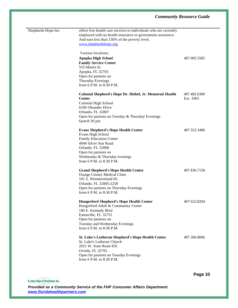| Shepherds Hope Inc. | offers free health care services to individuals who are currently<br>employed with no health insurance or government assistance.<br>And earn less than 150% of the poverty level.<br>www.shepherdshope.org                           |                           |
|---------------------|--------------------------------------------------------------------------------------------------------------------------------------------------------------------------------------------------------------------------------------|---------------------------|
|                     | Various locations;<br><b>Apopka High School</b><br><b>Family Service Center</b><br>555 Martin St.<br>Apopka, FL 32703<br>Open for patients on<br>Thursday Evenings<br>from 6 P.M. to 8:30 P.M.                                       | 407.905.5585              |
|                     | Colonial Shepherd's Hope Dr. Diebel, Jr. Memorial Health<br><b>Center</b><br>Colonial High School<br>6100 Oleander Drive<br>Orlando, FL 32807<br>Open for patients on Tuesday & Thursday Evenings<br>6pm-8:30 pm                     | 407.482.6300<br>Ext. 1003 |
|                     | <b>Evans Shepherd's Hope Health Center</b><br>Evans High School<br><b>Family Education Center</b><br>4949 Silver Star Road<br>Orlando, FL 32808<br>Open for patients on<br>Wednesday & Thursday evenings<br>from 6 P.M. to 8:30 P.M. | 407.552.3480              |
|                     | <b>Grand Shepherd's Hope Health Center</b><br>Orange County Medical Clinic<br>101 S. Westmoreland Dr.<br>Orlando, FL 32805-2258<br>Open for patients on Thursday Evenings<br>from 6 P.M. to 8:30 P.M.                                | 407.836.7158              |
|                     | <b>Hungerford Shepherd's Hope Health Center</b><br>Hungerford Adult & Community Center<br>100 E. Kennedy Blvd<br>Eatonville, FL 32751<br>Open for patients on<br>Tuesday and Wednesday Evenings<br>from 6 P.M. to 8:30 P.M.          | 407.622.8204              |
|                     | <b>St. Luke's Lutheran Shepherd's Hope Health Center</b><br>St. Luke's Lutheran Church<br>2021 W. State Road 426<br>Oviedo, FL 32765<br>Open for patients on Tuesday Evenings<br>from 6 P.M. to 8:30 P.M.                            | 407.366.8066              |

**FLORIDA HEALTH PARTNERS, INC.** 

*Provided as a Community Service of the FHP Consumer Affairs Department www.floridahealthpartners.com*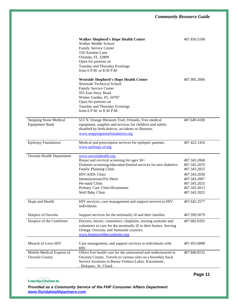|                                                        | <b>Walker Shepherd's Hope Health Center</b><br>Walker Middle School<br>Family Service Center<br>150 Amidon Lane<br>Orlando, FL 32809<br>Open for patients on<br>Tuesday and Thursday Evenings<br>from 6 P.M. to 8:30 P.M                                                                | 407.850.5100                                                                                                                 |
|--------------------------------------------------------|-----------------------------------------------------------------------------------------------------------------------------------------------------------------------------------------------------------------------------------------------------------------------------------------|------------------------------------------------------------------------------------------------------------------------------|
|                                                        | <b>Westside Shepherd's Hope Health Center</b><br><b>Westside Technical School</b><br>Family Service Center<br>955 East Story Road<br>Winter Garden, FL 34787<br>Open for patients on<br>Tuesday and Thursday Evenings<br>from 6 P.M. to 8:30 P.M.                                       | 407.905.2006                                                                                                                 |
| <b>Stepping Stone Medical</b><br><b>Equipment Bank</b> | 515 N. Orange Blossom Trail, Orlando, Free medical<br>equipment, supplies and services for children and adults<br>disabled by birth defects, accidents or illnesses.<br>www.steppingstonefoundation.org                                                                                 | 407.649.4100                                                                                                                 |
| <b>Epilespy Foundation</b>                             | Medical and prescription services for epileptic patients.<br>www.epilespy-cf.org                                                                                                                                                                                                        | 407.422.1416                                                                                                                 |
| Osceola Health Department                              | www.osceolahealth.org<br>Breast and cervical screening for ages 50+<br>Diabetes screening/education/limited services for new diabetics<br>Family Planning Clinic<br>HIV/AIDS Clinic<br>Immunizations/Flu Shots<br>Pre-natal Clinic<br>Primary Care Clinic/Kissimmee<br>Well Baby Clinic | 407.343.2068<br>407.343.2076<br>407.343.2025<br>407.343.2030<br>407.343.2067<br>407.343.2025<br>407.343.2013<br>407.343.2025 |
| Hope and Health                                        | HIV services, case management and support services to HIV<br>individuals.                                                                                                                                                                                                               | 407.645.2577                                                                                                                 |
| Hospice of Osceola                                     | Support services for the terminally ill and their families                                                                                                                                                                                                                              | 407.599.5079                                                                                                                 |
| Hospice of the Comforter                               | Doctors, nurses, counselors, chaplains, nursing assitants and<br>volunteers to care for the terminally ill in their homes. Serving<br>Orange, Osceola, and Seminole counties.<br>www.hospiceofthecomforter.org                                                                          | 407.682.0202                                                                                                                 |
| Miracle of Love-HIV                                    | Case management, and support services to individuals with<br>HIV.                                                                                                                                                                                                                       | 407.455.6008                                                                                                                 |
| Mobile Medical Express of<br>Osceola County            | Offers free health care for the uninsurend and underinsured in<br>Osceola County. Travels to various sites on a biweekly basis<br>Service locations in Buena Ventura Lakes, Kissimmee,<br>. Holopaw, St. Cloud.                                                                         | 407.846.8532                                                                                                                 |

**Page 11**

**FLORIDA HEALTH PARTNERS, INC.**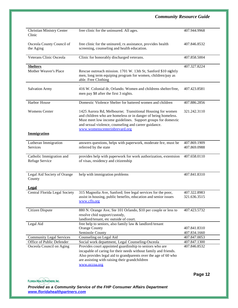| <b>Christian Ministry Center</b><br>Clinic | free clinic for the uninsured. All ages.                                                                                                                                                                                                                                            | 407.944.9968                 |
|--------------------------------------------|-------------------------------------------------------------------------------------------------------------------------------------------------------------------------------------------------------------------------------------------------------------------------------------|------------------------------|
| Osceola County Council of<br>the Aging     | free clinic for the uninured, rx assistance, provides health<br>screening, counseling and health education.                                                                                                                                                                         | 407.846.8532                 |
| Veterans Clinic Osceola                    | Clinic for honorably discharged veterans.                                                                                                                                                                                                                                           | 407.858.5004                 |
| <b>Shelters</b>                            |                                                                                                                                                                                                                                                                                     | 407.327.8224                 |
| Mother Weaver's Place                      | Rescue outreach mission. 1701 W. 13th St, Sanford \$10 nightly<br>men, long term equiping program for women, children/pay as<br>able. Free Clothing                                                                                                                                 |                              |
| <b>Salvation Army</b>                      | 416 W. Colonial dr, Orlando. Women and childrens shelter/free,<br>men pay \$8 after the first 3 nights.                                                                                                                                                                             | 407.423.8581                 |
| Harbor House                               | Domestic Violence Shelter for battered women and children                                                                                                                                                                                                                           | 407.886.2856                 |
| <b>Womens Center</b>                       | 1425 Aurora Rd, Melbourne; Transitional Housing for women<br>and children who are homeless or in danger of being homeless.<br>Must meet low income guidelines. Support groups for domestic<br>and sexual violence, counseling and career guidance.<br>www.womenscenterinbrevard.org | 321.242.3110                 |
| <b>Immigration</b>                         |                                                                                                                                                                                                                                                                                     |                              |
| Lutheran Immigration                       | answers questions, helps with paperwork, moderate fee, must be                                                                                                                                                                                                                      | 407.869.1909                 |
| <b>Services</b>                            | referred by the state                                                                                                                                                                                                                                                               | 407.869.0988                 |
| Catholic Immigration and<br>Refuge Service | provides help with paperwork for work authorization, extentsion<br>of visas, residency and citizenship                                                                                                                                                                              | 407.658.0110                 |
| Legal Aid Society of Orange<br>County      | help with immigration problems                                                                                                                                                                                                                                                      | 407.841.8310                 |
| <b>Legal</b>                               |                                                                                                                                                                                                                                                                                     |                              |
| Central Florida Legal Society              | 315 Magnolia Ave, Sanford; free legal services for the poor,<br>assist in housing, public benefits, education and senior issues<br><u>www.cfls.org</u>                                                                                                                              | 407.322.8983<br>321.636.3515 |
| Citizen Dispute                            | 880 N. Orange Ave, Ste 101 Orlando, \$10 per couple or less to<br>resolve chid support/custody,<br>landlord/tenant, etc outside of court.                                                                                                                                           | 407.423.5732                 |
| Legal Aid                                  | free help to seniors, also family law & landlord/tenant                                                                                                                                                                                                                             |                              |
|                                            | <b>Orange County</b>                                                                                                                                                                                                                                                                | 407.841.8310                 |
|                                            | Seminole County                                                                                                                                                                                                                                                                     | 407.834.1660                 |
| <b>Community Legal Services</b>            | Counseling on Legal Aid                                                                                                                                                                                                                                                             | 407.847.0053                 |
| Office of Public Defender                  | Social work department, Legal Counseling-Osceola                                                                                                                                                                                                                                    | 407.847.1300                 |
| Osceola Council on Aging                   | Provides court appointed guardinship to seniors who are<br>incapable of caring for their needs without family and friends.<br>Also provides legal aid to grandparents over the age of 60 who<br>are assisting with raising their grandchildren<br>www.occoa.org                     | 407.846.8532                 |
|                                            |                                                                                                                                                                                                                                                                                     |                              |

**FLORIDA HEALTH PARTNERS, INC.** 

*Provided as a Community Service of the FHP Consumer Affairs Department www.floridahealthpartners.com*